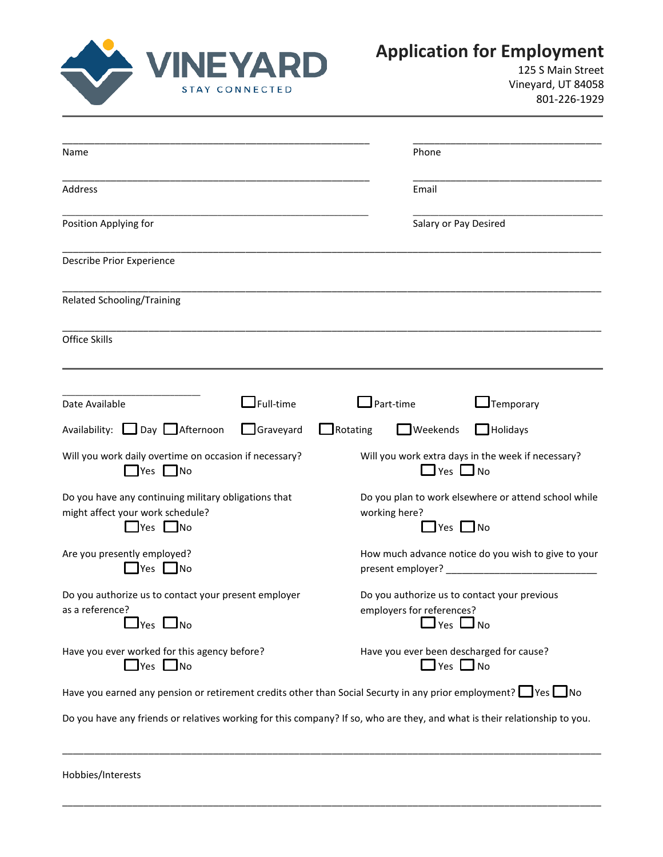

125 S Main Street Vineyard, UT 84058 801-226-1929

| Name                                                                                                                       |           |                 | Phone                                                                                                                    |                                                      |  |
|----------------------------------------------------------------------------------------------------------------------------|-----------|-----------------|--------------------------------------------------------------------------------------------------------------------------|------------------------------------------------------|--|
| Address                                                                                                                    |           |                 | Email                                                                                                                    |                                                      |  |
| Position Applying for                                                                                                      |           |                 | Salary or Pay Desired                                                                                                    |                                                      |  |
| Describe Prior Experience                                                                                                  |           |                 |                                                                                                                          |                                                      |  |
| Related Schooling/Training                                                                                                 |           |                 |                                                                                                                          |                                                      |  |
| Office Skills                                                                                                              |           |                 |                                                                                                                          |                                                      |  |
| Date Available                                                                                                             | Full-time | Part-time       |                                                                                                                          | Temporary                                            |  |
| Availability: Day Afternoon                                                                                                | Graveyard | $\Box$ Rotating | $\Box$ Weekends                                                                                                          | $\mathbf{\mathsf{I}}$ Holidays                       |  |
| Will you work daily overtime on occasion if necessary?<br>$\exists$ Yes $\Box$ No                                          |           |                 | $\Box$ Yes $\Box$ No                                                                                                     | Will you work extra days in the week if necessary?   |  |
| Do you have any continuing military obligations that<br>might affect your work schedule?<br>$\Box$ Yes $\Box$ No           |           | working here?   | $\Box$ Yes $\Box$ No                                                                                                     | Do you plan to work elsewhere or attend school while |  |
| Are you presently employed?<br>$\Box$ Yes $\Box$ No                                                                        |           |                 |                                                                                                                          | How much advance notice do you wish to give to your  |  |
| Do you authorize us to contact your present employer<br>as a reference?<br>Yes $\Box$ No                                   |           |                 | Do you authorize us to contact your previous<br>employers for references?<br>$\mathsf{I}$ Yes $\mathsf{L} \mathsf{I}$ No |                                                      |  |
| Have you ever worked for this agency before?<br>$\Box$ Yes $\Box$ No                                                       |           |                 | Have you ever been descharged for cause?<br>$\Box$ Yes $\Box$ No                                                         |                                                      |  |
| Have you earned any pension or retirement credits other than Social Securty in any prior employment? $\Box$ Yes $\Box$ No  |           |                 |                                                                                                                          |                                                      |  |
| Do you have any friends or relatives working for this company? If so, who are they, and what is their relationship to you. |           |                 |                                                                                                                          |                                                      |  |

\_\_\_\_\_\_\_\_\_\_\_\_\_\_\_\_\_\_\_\_\_\_\_\_\_\_\_\_\_\_\_\_\_\_\_\_\_\_\_\_\_\_\_\_\_\_\_\_\_\_\_\_\_\_\_\_\_\_\_\_\_\_\_\_\_\_\_\_\_\_\_\_\_\_\_\_\_\_\_\_\_\_\_\_\_\_\_\_\_\_\_\_\_\_\_\_\_\_\_\_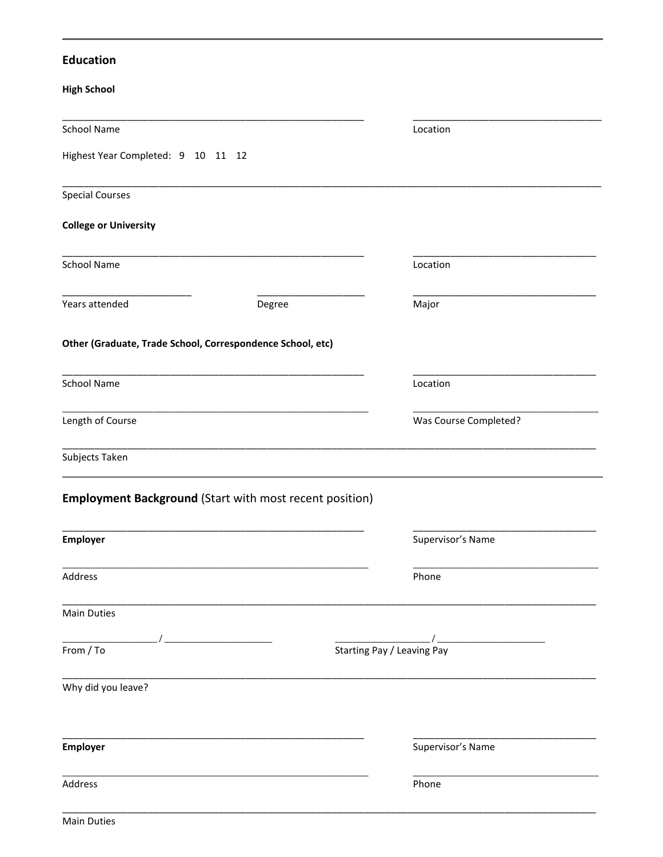## Education

| <b>High School</b>                 |                                                                |                            |
|------------------------------------|----------------------------------------------------------------|----------------------------|
| <b>School Name</b>                 |                                                                | Location                   |
| Highest Year Completed: 9 10 11 12 |                                                                |                            |
| <b>Special Courses</b>             |                                                                |                            |
| <b>College or University</b>       |                                                                |                            |
| <b>School Name</b>                 |                                                                | Location                   |
| Years attended                     | Degree                                                         | Major                      |
|                                    | Other (Graduate, Trade School, Correspondence School, etc)     |                            |
| <b>School Name</b>                 |                                                                | Location                   |
| Length of Course                   |                                                                | Was Course Completed?      |
| Subjects Taken                     |                                                                |                            |
|                                    | <b>Employment Background (Start with most recent position)</b> |                            |
| Employer                           |                                                                | Supervisor's Name          |
| Address                            |                                                                | Phone                      |
| <b>Main Duties</b>                 |                                                                |                            |
| From / To                          |                                                                | Starting Pay / Leaving Pay |
| Why did you leave?                 |                                                                |                            |
| Employer                           |                                                                | Supervisor's Name          |
| Address                            |                                                                | Phone                      |
|                                    |                                                                |                            |